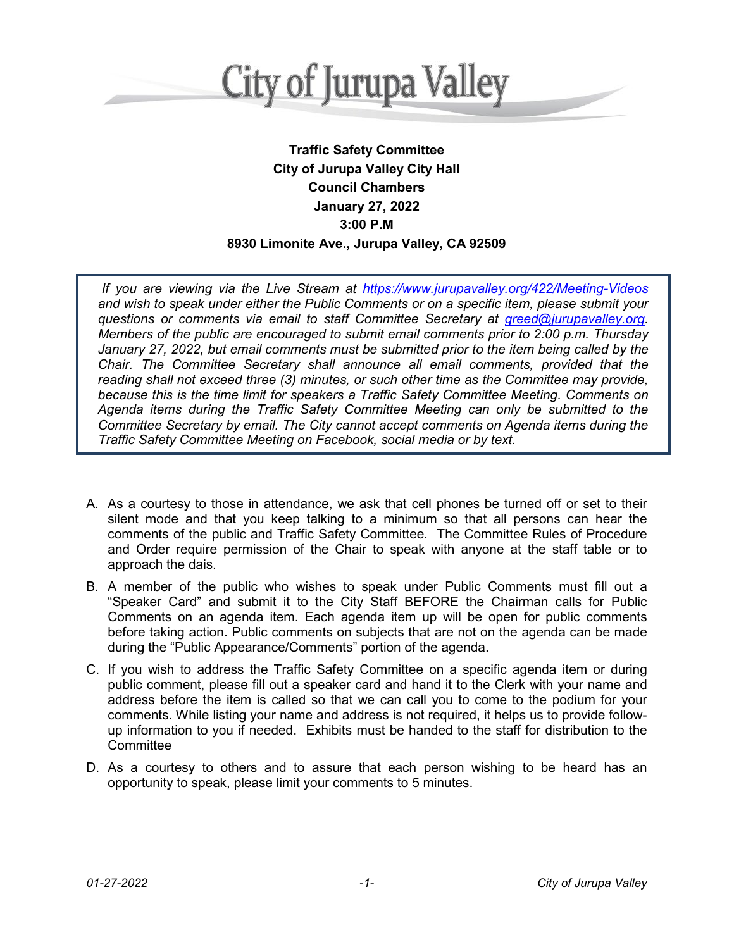

## **Traffic Safety Committee City of Jurupa Valley City Hall Council Chambers January 27, 2022 3:00 P.M 8930 Limonite Ave., Jurupa Valley, CA 92509**

*If you are viewing via the Live Stream at [https://www.jurupavalley.org/422/Meeting-Videos](https://ww.jurupavalley.org/422/Meeting-Videos) and wish to speak under either the Public Comments or on a specific item, please submit your questions or comments via email to staff Committee Secretary at [greed@jurupavalley.org.](mailto:greed@jurupavalley.org) Members of the public are encouraged to submit email comments prior to 2:00 p.m. Thursday January 27, 2022, but email comments must be submitted prior to the item being called by the Chair. The Committee Secretary shall announce all email comments, provided that the reading shall not exceed three (3) minutes, or such other time as the Committee may provide, because this is the time limit for speakers a Traffic Safety Committee Meeting. Comments on Agenda items during the Traffic Safety Committee Meeting can only be submitted to the Committee Secretary by email. The City cannot accept comments on Agenda items during the Traffic Safety Committee Meeting on Facebook, social media or by text.*

- A. As a courtesy to those in attendance, we ask that cell phones be turned off or set to their silent mode and that you keep talking to a minimum so that all persons can hear the comments of the public and Traffic Safety Committee. The Committee Rules of Procedure and Order require permission of the Chair to speak with anyone at the staff table or to approach the dais.
- B. A member of the public who wishes to speak under Public Comments must fill out a "Speaker Card" and submit it to the City Staff BEFORE the Chairman calls for Public Comments on an agenda item. Each agenda item up will be open for public comments before taking action. Public comments on subjects that are not on the agenda can be made during the "Public Appearance/Comments" portion of the agenda.
- C. If you wish to address the Traffic Safety Committee on a specific agenda item or during public comment, please fill out a speaker card and hand it to the Clerk with your name and address before the item is called so that we can call you to come to the podium for your comments. While listing your name and address is not required, it helps us to provide followup information to you if needed. Exhibits must be handed to the staff for distribution to the **Committee**
- D. As a courtesy to others and to assure that each person wishing to be heard has an opportunity to speak, please limit your comments to 5 minutes.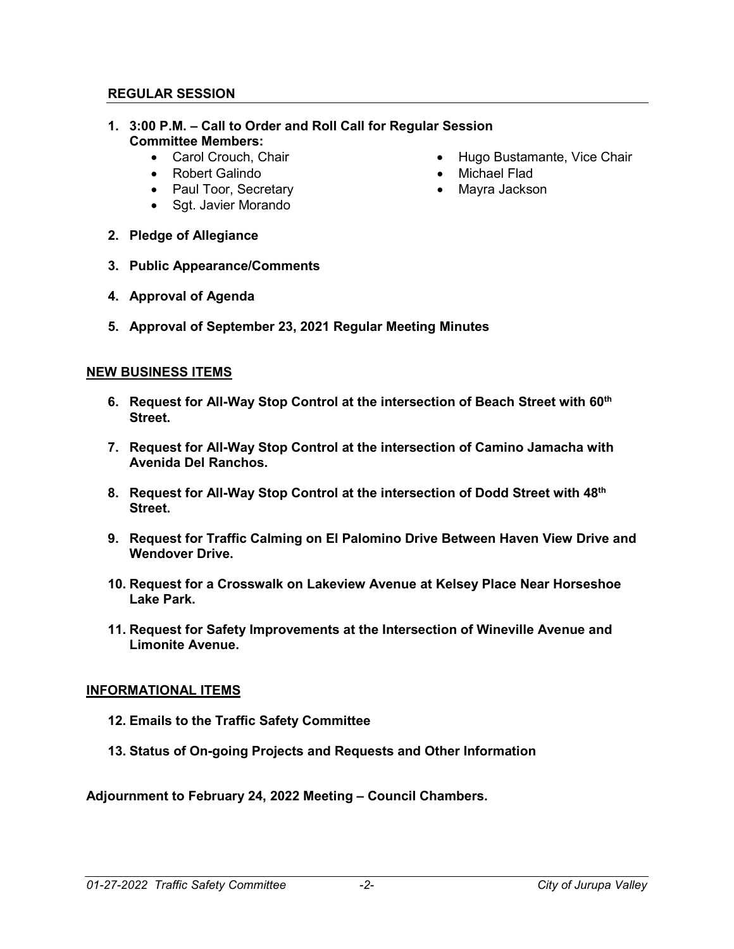## **REGULAR SESSION**

- **1. 3:00 P.M. – Call to Order and Roll Call for Regular Session Committee Members:**
	-
	- Robert Galindo
	- Paul Toor, Secretary
	- Sgt. Javier Morando
	- Carol Crouch, Chair  **Hugo Bustamante, Vice Chair** 
		- Michael Flad
		- Mayra Jackson

- **2. Pledge of Allegiance**
- **3. Public Appearance/Comments**
- **4. Approval of Agenda**
- **5. Approval of September 23, 2021 Regular Meeting Minutes**

## **NEW BUSINESS ITEMS**

- **6. Request for All-Way Stop Control at the intersection of Beach Street with 60th Street.**
- **7. Request for All-Way Stop Control at the intersection of Camino Jamacha with Avenida Del Ranchos.**
- **8. Request for All-Way Stop Control at the intersection of Dodd Street with 48th Street.**
- **9. Request for Traffic Calming on El Palomino Drive Between Haven View Drive and Wendover Drive.**
- **10. Request for a Crosswalk on Lakeview Avenue at Kelsey Place Near Horseshoe Lake Park.**
- **11. Request for Safety Improvements at the Intersection of Wineville Avenue and Limonite Avenue.**

## **INFORMATIONAL ITEMS**

- **12. Emails to the Traffic Safety Committee**
- **13. Status of On-going Projects and Requests and Other Information**

**Adjournment to February 24, 2022 Meeting – Council Chambers.**